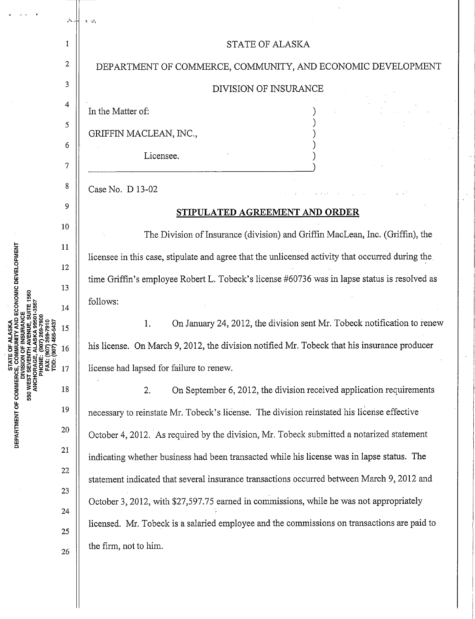|                                                                           | ینے    | $3 - i\Delta$                                                                                    |
|---------------------------------------------------------------------------|--------|--------------------------------------------------------------------------------------------------|
| ) 269-7900<br>69-7910<br>65-5437<br><b>PHONE:</b><br>FAX: (90<br>TDD: (90 | 1      | STATE OF ALASKA                                                                                  |
|                                                                           | 2      | DEPARTMENT OF COMMERCE, COMMUNITY, AND ECONOMIC DEVELOPMENT                                      |
|                                                                           | 3      | <b>DIVISION OF INSURANCE</b>                                                                     |
|                                                                           | 4      | In the Matter of:                                                                                |
|                                                                           | 5      | GRIFFIN MACLEAN, INC.,                                                                           |
|                                                                           | 6<br>7 | Licensee.                                                                                        |
|                                                                           | 8      | Case No. D 13-02                                                                                 |
|                                                                           | 9      | STIPULATED AGREEMENT AND ORDER                                                                   |
|                                                                           | 10     | The Division of Insurance (division) and Griffin MacLean, Inc. (Griffin), the                    |
|                                                                           | 11     | licensee in this case, stipulate and agree that the unlicensed activity that occurred during the |
|                                                                           | 12     | time Griffin's employee Robert L. Tobeck's license #60736 was in lapse status is resolved as     |
|                                                                           | 13     | follows:                                                                                         |
|                                                                           | 14     |                                                                                                  |
|                                                                           | 15     | On January 24, 2012, the division sent Mr. Tobeck notification to renew<br>1.                    |
|                                                                           | 16     | his license. On March 9, 2012, the division notified Mr. Tobeck that his insurance producer      |
|                                                                           | 17     | license had lapsed for failure to renew.                                                         |
|                                                                           | 18     | On September 6, 2012, the division received application requirements<br>2.                       |
|                                                                           | 19     | necessary to reinstate Mr. Tobeck's license. The division reinstated his license effective       |
|                                                                           | 20     | October 4, 2012. As required by the division, Mr. Tobeck submitted a notarized statement         |
|                                                                           | 21     | indicating whether business had been transacted while his license was in lapse status. The       |
|                                                                           | $22\,$ | statement indicated that several insurance transactions occurred between March 9, 2012 and       |
|                                                                           | 23     | October 3, 2012, with \$27,597.75 earned in commissions, while he was not appropriately          |
|                                                                           | 24     | licensed. Mr. Tobeck is a salaried employee and the commissions on transactions are paid to      |
|                                                                           | 25     | the firm, not to him.                                                                            |
|                                                                           | 26     |                                                                                                  |
|                                                                           |        |                                                                                                  |

 $\ddot{\phantom{0}}$ 

 $\ddot{\phantom{0}}$ 

**LL**  0 **MEN DEPAR** 

 $\vec{a}$  $\sim$   $\sim$  $\mathcal{A}$ 

 $\hat{\mathcal{L}}$ 

Ŷ,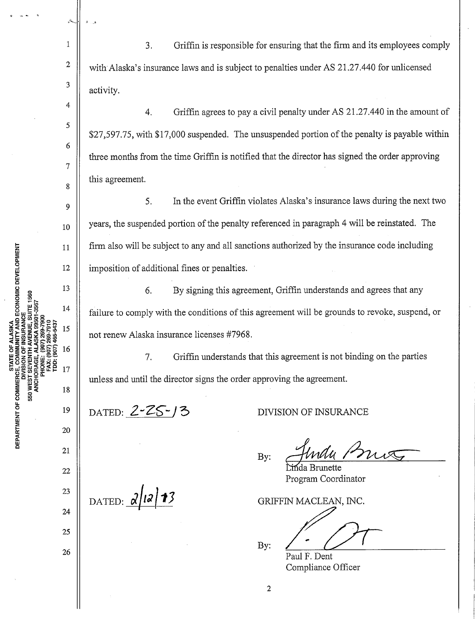2 3 4 5 6 with Alaska's insurance laws and is subject to penalties under AS 21.27.440 for unlicensed activity. 4. Griffin agrees to pay a civil penalty under AS 21.27.440 in the amount of \$27,597.75, with \$17,000 suspended. The unsuspended portion of the penalty is payable within three months from the time Griffin is notified that the director has signed the order approving

this agreement.

11" ...... - .,

1

7

8

9

10

11

12

13

14

15

16

17

19

18

20

21

22

23

24

25

26

ien<br>⊡

550 WEST

**ITY AND ECONOMIC DEVELOPMENT** 

SUITE 1560

DEPAR<br>-

5. In the event Griffin violates Alaska's insurance laws during the next two years, the suspended portion of the penalty referenced in paragraph 4 will be reinstated. The firm also will be subject to any and all sanctions authorized by the insurance code including imposition of additional fines or penalties.

3. Griffin is responsible for ensuring that the firm and its employees comply

6. By signing this agreement, Griffin understands and agrees that any failure to comply with the conditions of this agreement will be grounds to revoke, suspend, or not renew Alaska insurance licenses #7968.

7. Griffin understands that this agreement is not binding on the parties unless and until the director signs the order approving the agreement.

DATED:  $2 - 25 - 3$ 

 $_{\text{DATAED:}}$   $2|12|13$ 

DIVISION OF INSURANCE

By: Jindu Prus

Program Coordinator

GRIFFIN MACLEAN, INC.

N MACLEAN, INC.<br>Paul F. Dent

Paul F. Dent Compliance Officer

By:

2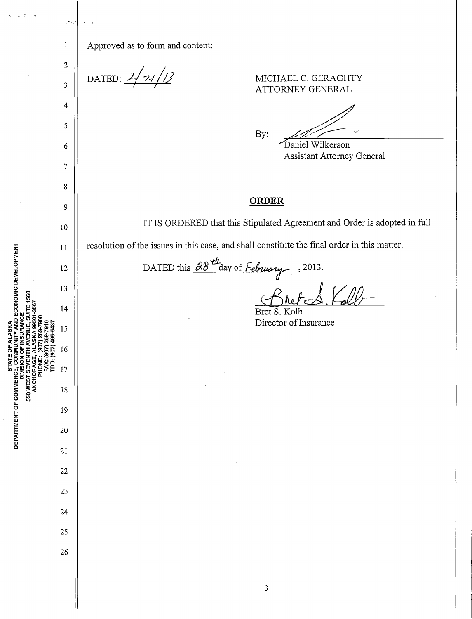ò.  $\mathbf{1}$ Approved as to form and content:  $\overline{2}$ DATED:  $2/21/13$ MICHAEL C. GERAGHTY  $\overline{3}$ ATTORNEY GENERAL  $\overline{4}$  $\mathfrak{s}$ By: Daniel Wilkerson  $\boldsymbol{6}$ Assistant Attorney General  $\overline{7}$ 8 **ORDER** 9 IT IS ORDERED that this Stipulated Agreement and Order is adopted in full 10 resolution of the issues in this case, and shall constitute the final order in this matter. 11 DATED this  $\frac{\partial 8^{\frac{th}{2}}}{\partial x}$  day of *February*, 2013. 12 13  $14$ Bret S. Kolb Director of Insurance 15 16 17 550 WES 18 19 20 21  $22$ 23 24 25 26  $\mathbf{3}$ 

AND ECONOMIC DEVELOPMENT

STATE OF ALASKA

DEPARTMENT OF COMMERCE